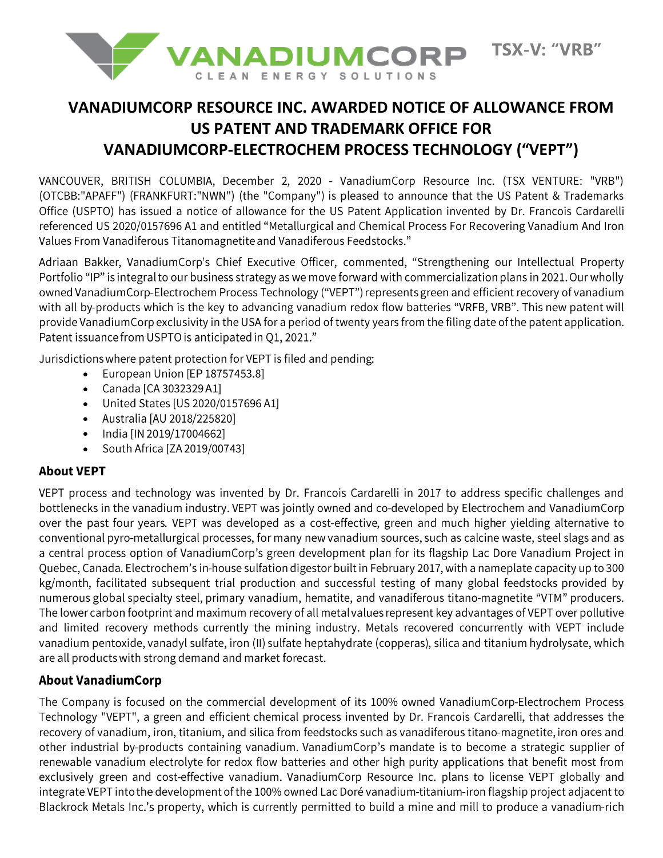

# **VANADIUMCORP RESOURCE INC. AWARDED NOTICE OF ALLOWANCE FROM US PATENT AND TRADEMARK OFFICE FOR VANADIUMCORP-ELECTROCHEM PROCESS TECHNOLOGY ("VEPT")**

VANCOUVER, BRITISH COLUMBIA, December 2, 2020 - VanadiumCorp Resource Inc. (TSX VENTURE: "VRB") (OTCBB:"APAFF") (FRANKFURT:"NWN") (the "Company") is pleased to announce that the US Patent & Trademarks Office (USPTO) has issued a notice of allowance for the US Patent Application invented by Dr. Francois Cardarelli referenced US 2020/0157696 A1 and entitled "Metallurgical and Chemical Process For Recovering Vanadium And Iron Values From Vanadiferous Titanomagnetite and Vanadiferous Feedstocks."

Adriaan Bakker, VanadiumCorp's Chief Executive Officer, commented, "Strengthening our Intellectual Property Portfolio "IP" is integral to our business strategy as we move forward with commercialization plans in 2021. Our wholly owned VanadiumCorp-Electrochem Process Technology ("VEPT") represents green and efficient recovery of vanadium with all by-products which is the key to advancing vanadium redox flow batteries "VRFB, VRB". This new patent will provide VanadiumCorp exclusivity in the USA for a period of twenty years from the filing date of the patent application. Patent issuance from USPTO is anticipated in Q1, 2021."

Jurisdictions where patent protection for VEPT is filed and pending:

- European Union [EP 18757453.8]
- Canada [CA 3032329 A1]
- United States [US 2020/0157696 A1]
- Australia [AU 2018/225820]
- India [IN 2019/17004662]
- South Africa [ZA 2019/00743] •

## **About VEPT**

VEPT process and technology was invented by Dr. Francois Cardarelli in 2017 to address specific challenges and bottlenecks in the vanadium industry. VEPT was jointly owned and co-developed by Electrochem and VanadiumCorp over the past four years. VEPT was developed as a cost-effective, green and much higher yielding alternative to conventional pyro-metallurgical processes, for many new vanadium sources, such as calcine waste, steel slags and as a central process option of VanadiumCorp's green development plan for its flagship Lac Dore Vanadium Project in Quebec, Canada. Electrochem's in-house sulfation digestor built in February 2017, with a nameplate capacity up to 300 kg/month, facilitated subsequent trial production and successful testing of many global feedstocks provided by numerous global specialty steel, primary vanadium, hematite, and vanadiferous titano-magnetite "VTM" producers. The lower carbon footprint and maximum recovery of all metal values represent key advantages of VEPT over pollutive and limited recovery methods currently the mining industry. Metals recovered concurrently with VEPT include vanadium pentoxide, vanadyl sulfate, iron (II) sulfate heptahydrate (copperas), silica and titanium hydrolysate, which are all products with strong demand and market forecast.

## **About VanadiumCorp**

The Company is focused on the commercial development of its 100% owned VanadiumCorp-Electrochem Process Technology "VEPT", a green and efficient chemical process invented by Dr. Francois Cardarelli, that addresses the recovery of vanadium, iron, titanium, and silica from feedstocks such as vanadiferous titano-magnetite, iron ores and other industrial by-products containing vanadium. VanadiumCorp's mandate is to become a strategic supplier of renewable vanadium electrolyte for redox flow batteries and other high purity applications that benefit most from exclusively green and cost-effective vanadium. VanadiumCorp Resource Inc. plans to license VEPT globally and integrate VEPT into the development of the 100% owned Lac Doré vanadium-titanium-iron flagship project adjacent to Blackrock Metals Inc.'s property, which is currently permitted to build a mine and mill to produce a vanadium-rich